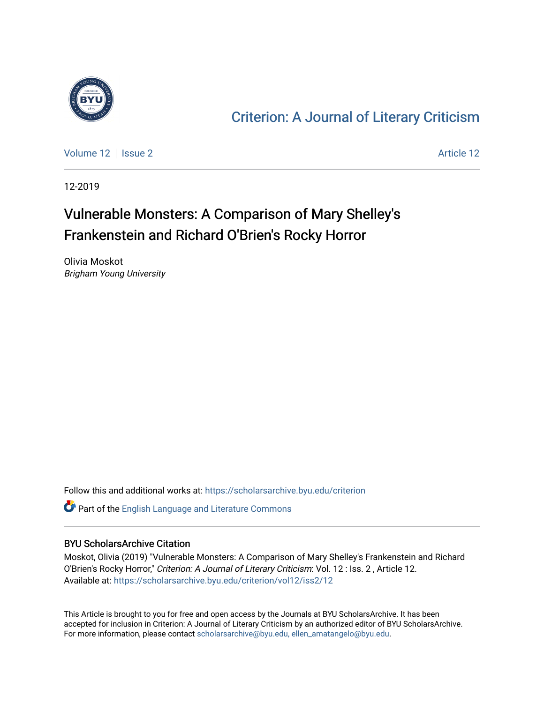

### [Criterion: A Journal of Literary Criticism](https://scholarsarchive.byu.edu/criterion)

[Volume 12](https://scholarsarchive.byu.edu/criterion/vol12) | [Issue 2](https://scholarsarchive.byu.edu/criterion/vol12/iss2) [Article 12](https://scholarsarchive.byu.edu/criterion/vol12/iss2/12) | Issue 2 Article 12 | Article 12 | Article 12 | Article 12

12-2019

## Vulnerable Monsters: A Comparison of Mary Shelley's Frankenstein and Richard O'Brien's Rocky Horror

Olivia Moskot Brigham Young University

Follow this and additional works at: [https://scholarsarchive.byu.edu/criterion](https://scholarsarchive.byu.edu/criterion?utm_source=scholarsarchive.byu.edu%2Fcriterion%2Fvol12%2Fiss2%2F12&utm_medium=PDF&utm_campaign=PDFCoverPages) 

Part of the [English Language and Literature Commons](http://network.bepress.com/hgg/discipline/455?utm_source=scholarsarchive.byu.edu%2Fcriterion%2Fvol12%2Fiss2%2F12&utm_medium=PDF&utm_campaign=PDFCoverPages)

#### BYU ScholarsArchive Citation

Moskot, Olivia (2019) "Vulnerable Monsters: A Comparison of Mary Shelley's Frankenstein and Richard O'Brien's Rocky Horror," Criterion: A Journal of Literary Criticism: Vol. 12 : Iss. 2 , Article 12. Available at: [https://scholarsarchive.byu.edu/criterion/vol12/iss2/12](https://scholarsarchive.byu.edu/criterion/vol12/iss2/12?utm_source=scholarsarchive.byu.edu%2Fcriterion%2Fvol12%2Fiss2%2F12&utm_medium=PDF&utm_campaign=PDFCoverPages) 

This Article is brought to you for free and open access by the Journals at BYU ScholarsArchive. It has been accepted for inclusion in Criterion: A Journal of Literary Criticism by an authorized editor of BYU ScholarsArchive. For more information, please contact [scholarsarchive@byu.edu, ellen\\_amatangelo@byu.edu](mailto:scholarsarchive@byu.edu,%20ellen_amatangelo@byu.edu).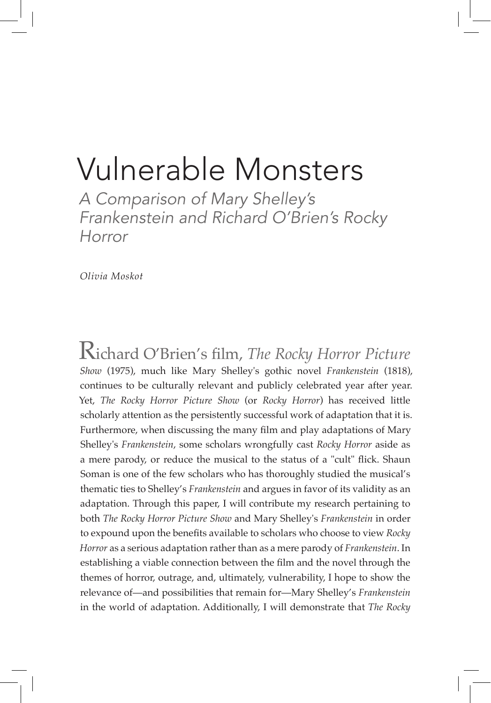# Vulnerable Monsters

*A Comparison of Mary Shelley's Frankenstein and Richard O'Brien's Rocky Horror*

*Olivia Moskot*

Richard O'Brien's film, *The Rocky Horror Picture Show* (1975), much like Mary Shelley's gothic novel *Frankenstein* (1818), continues to be culturally relevant and publicly celebrated year after year. Yet, *The Rocky Horror Picture Show* (or *Rocky Horror*) has received little scholarly attention as the persistently successful work of adaptation that it is. Furthermore, when discussing the many film and play adaptations of Mary Shelley's *Frankenstein*, some scholars wrongfully cast *Rocky Horror* aside as a mere parody, or reduce the musical to the status of a "cult" flick. Shaun Soman is one of the few scholars who has thoroughly studied the musical's thematic ties to Shelley's *Frankenstein* and argues in favor of its validity as an adaptation. Through this paper, I will contribute my research pertaining to both *The Rocky Horror Picture Show* and Mary Shelley's *Frankenstein* in order to expound upon the benefits available to scholars who choose to view *Rocky Horror* as a serious adaptation rather than as a mere parody of *Frankenstein*. In establishing a viable connection between the film and the novel through the themes of horror, outrage, and, ultimately, vulnerability, I hope to show the relevance of—and possibilities that remain for—Mary Shelley's *Frankenstein*  in the world of adaptation. Additionally, I will demonstrate that *The Rocky*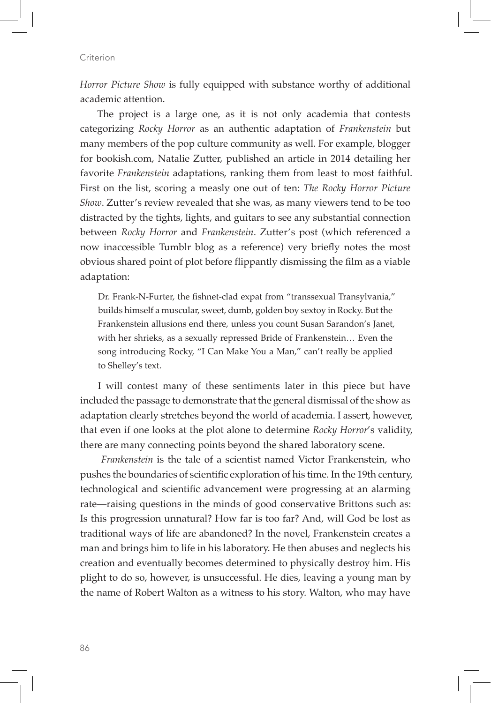*Horror Picture Show* is fully equipped with substance worthy of additional academic attention.

The project is a large one, as it is not only academia that contests categorizing *Rocky Horror* as an authentic adaptation of *Frankenstein* but many members of the pop culture community as well. For example, blogger for bookish.com, Natalie Zutter, published an article in 2014 detailing her favorite *Frankenstein* adaptations, ranking them from least to most faithful. First on the list, scoring a measly one out of ten: *The Rocky Horror Picture Show*. Zutter's review revealed that she was, as many viewers tend to be too distracted by the tights, lights, and guitars to see any substantial connection between *Rocky Horror* and *Frankenstein*. Zutter's post (which referenced a now inaccessible Tumblr blog as a reference) very briefly notes the most obvious shared point of plot before flippantly dismissing the film as a viable adaptation:

Dr. Frank-N-Furter, the fishnet-clad expat from "transsexual Transylvania," builds himself a muscular, sweet, dumb, golden boy sextoy in Rocky. But the Frankenstein allusions end there, unless you count Susan Sarandon's Janet, with her shrieks, as a sexually repressed Bride of Frankenstein… Even the song introducing Rocky, "I Can Make You a Man," can't really be applied to Shelley's text.

I will contest many of these sentiments later in this piece but have included the passage to demonstrate that the general dismissal of the show as adaptation clearly stretches beyond the world of academia. I assert, however, that even if one looks at the plot alone to determine *Rocky Horror*'s validity, there are many connecting points beyond the shared laboratory scene.

*Frankenstein* is the tale of a scientist named Victor Frankenstein, who pushes the boundaries of scientific exploration of his time. In the 19th century, technological and scientific advancement were progressing at an alarming rate—raising questions in the minds of good conservative Brittons such as: Is this progression unnatural? How far is too far? And, will God be lost as traditional ways of life are abandoned? In the novel, Frankenstein creates a man and brings him to life in his laboratory. He then abuses and neglects his creation and eventually becomes determined to physically destroy him. His plight to do so, however, is unsuccessful. He dies, leaving a young man by the name of Robert Walton as a witness to his story. Walton, who may have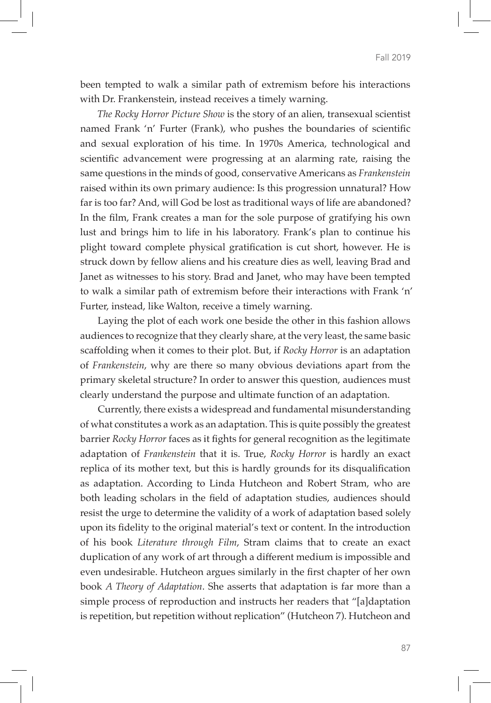been tempted to walk a similar path of extremism before his interactions with Dr. Frankenstein, instead receives a timely warning.

*The Rocky Horror Picture Show* is the story of an alien, transexual scientist named Frank 'n' Furter (Frank), who pushes the boundaries of scientific and sexual exploration of his time. In 1970s America, technological and scientific advancement were progressing at an alarming rate, raising the same questions in the minds of good, conservative Americans as *Frankenstein* raised within its own primary audience: Is this progression unnatural? How far is too far? And, will God be lost as traditional ways of life are abandoned? In the film, Frank creates a man for the sole purpose of gratifying his own lust and brings him to life in his laboratory. Frank's plan to continue his plight toward complete physical gratification is cut short, however. He is struck down by fellow aliens and his creature dies as well, leaving Brad and Janet as witnesses to his story. Brad and Janet, who may have been tempted to walk a similar path of extremism before their interactions with Frank 'n' Furter, instead, like Walton, receive a timely warning.

Laying the plot of each work one beside the other in this fashion allows audiences to recognize that they clearly share, at the very least, the same basic scaffolding when it comes to their plot. But, if *Rocky Horror* is an adaptation of *Frankenstein*, why are there so many obvious deviations apart from the primary skeletal structure? In order to answer this question, audiences must clearly understand the purpose and ultimate function of an adaptation.

Currently, there exists a widespread and fundamental misunderstanding of what constitutes a work as an adaptation. This is quite possibly the greatest barrier *Rocky Horror* faces as it fights for general recognition as the legitimate adaptation of *Frankenstein* that it is. True, *Rocky Horror* is hardly an exact replica of its mother text, but this is hardly grounds for its disqualification as adaptation. According to Linda Hutcheon and Robert Stram, who are both leading scholars in the field of adaptation studies, audiences should resist the urge to determine the validity of a work of adaptation based solely upon its fidelity to the original material's text or content. In the introduction of his book *Literature through Film*, Stram claims that to create an exact duplication of any work of art through a different medium is impossible and even undesirable. Hutcheon argues similarly in the first chapter of her own book *A Theory of Adaptation*. She asserts that adaptation is far more than a simple process of reproduction and instructs her readers that "[a]daptation is repetition, but repetition without replication" (Hutcheon 7). Hutcheon and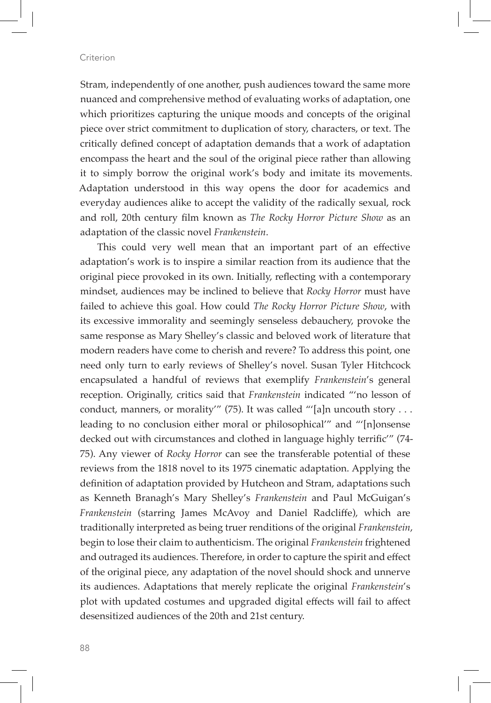Stram, independently of one another, push audiences toward the same more nuanced and comprehensive method of evaluating works of adaptation, one which prioritizes capturing the unique moods and concepts of the original piece over strict commitment to duplication of story, characters, or text. The critically defined concept of adaptation demands that a work of adaptation encompass the heart and the soul of the original piece rather than allowing it to simply borrow the original work's body and imitate its movements. Adaptation understood in this way opens the door for academics and everyday audiences alike to accept the validity of the radically sexual, rock and roll, 20th century film known as *The Rocky Horror Picture Show* as an adaptation of the classic novel *Frankenstein*.

This could very well mean that an important part of an effective adaptation's work is to inspire a similar reaction from its audience that the original piece provoked in its own. Initially, reflecting with a contemporary mindset, audiences may be inclined to believe that *Rocky Horror* must have failed to achieve this goal. How could *The Rocky Horror Picture Show*, with its excessive immorality and seemingly senseless debauchery, provoke the same response as Mary Shelley's classic and beloved work of literature that modern readers have come to cherish and revere? To address this point, one need only turn to early reviews of Shelley's novel. Susan Tyler Hitchcock encapsulated a handful of reviews that exemplify *Frankenstein*'s general reception. Originally, critics said that *Frankenstein* indicated "'no lesson of conduct, manners, or morality" (75). It was called "'[a]n uncouth story . . . leading to no conclusion either moral or philosophical'" and "'[n]onsense decked out with circumstances and clothed in language highly terrific'" (74- 75). Any viewer of *Rocky Horror* can see the transferable potential of these reviews from the 1818 novel to its 1975 cinematic adaptation. Applying the definition of adaptation provided by Hutcheon and Stram, adaptations such as Kenneth Branagh's Mary Shelley's *Frankenstein* and Paul McGuigan's *Frankenstein* (starring James McAvoy and Daniel Radcliffe), which are traditionally interpreted as being truer renditions of the original *Frankenstein*, begin to lose their claim to authenticism. The original *Frankenstein* frightened and outraged its audiences. Therefore, in order to capture the spirit and effect of the original piece, any adaptation of the novel should shock and unnerve its audiences. Adaptations that merely replicate the original *Frankenstein*'s plot with updated costumes and upgraded digital effects will fail to affect desensitized audiences of the 20th and 21st century.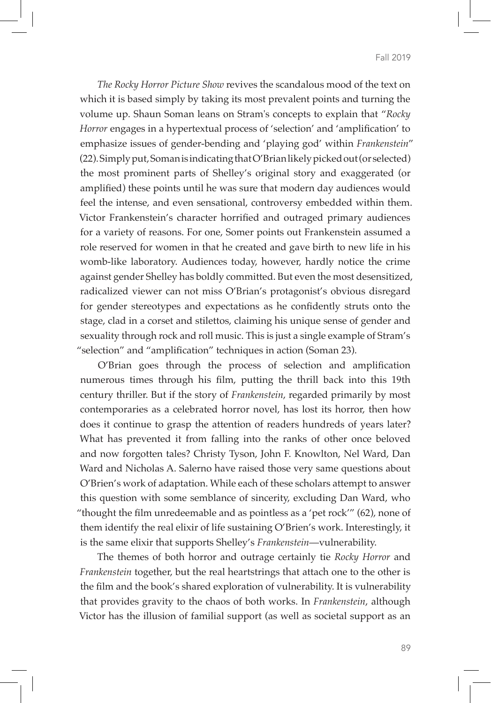*The Rocky Horror Picture Show* revives the scandalous mood of the text on which it is based simply by taking its most prevalent points and turning the volume up. Shaun Soman leans on Stram's concepts to explain that "*Rocky Horror* engages in a hypertextual process of 'selection' and 'amplification' to emphasize issues of gender-bending and 'playing god' within *Frankenstein*" (22). Simply put, Soman is indicating that O'Brian likely picked out (or selected) the most prominent parts of Shelley's original story and exaggerated (or amplified) these points until he was sure that modern day audiences would feel the intense, and even sensational, controversy embedded within them. Victor Frankenstein's character horrified and outraged primary audiences for a variety of reasons. For one, Somer points out Frankenstein assumed a role reserved for women in that he created and gave birth to new life in his womb-like laboratory. Audiences today, however, hardly notice the crime against gender Shelley has boldly committed. But even the most desensitized, radicalized viewer can not miss O'Brian's protagonist's obvious disregard for gender stereotypes and expectations as he confidently struts onto the stage, clad in a corset and stilettos, claiming his unique sense of gender and sexuality through rock and roll music. This is just a single example of Stram's "selection" and "amplification" techniques in action (Soman 23).

O'Brian goes through the process of selection and amplification numerous times through his film, putting the thrill back into this 19th century thriller. But if the story of *Frankenstein*, regarded primarily by most contemporaries as a celebrated horror novel, has lost its horror, then how does it continue to grasp the attention of readers hundreds of years later? What has prevented it from falling into the ranks of other once beloved and now forgotten tales? Christy Tyson, John F. Knowlton, Nel Ward, Dan Ward and Nicholas A. Salerno have raised those very same questions about O'Brien's work of adaptation. While each of these scholars attempt to answer this question with some semblance of sincerity, excluding Dan Ward, who "thought the film unredeemable and as pointless as a 'pet rock'" (62), none of them identify the real elixir of life sustaining O'Brien's work. Interestingly, it is the same elixir that supports Shelley's *Frankenstein*—vulnerability.

The themes of both horror and outrage certainly tie *Rocky Horror* and *Frankenstein* together, but the real heartstrings that attach one to the other is the film and the book's shared exploration of vulnerability. It is vulnerability that provides gravity to the chaos of both works. In *Frankenstein*, although Victor has the illusion of familial support (as well as societal support as an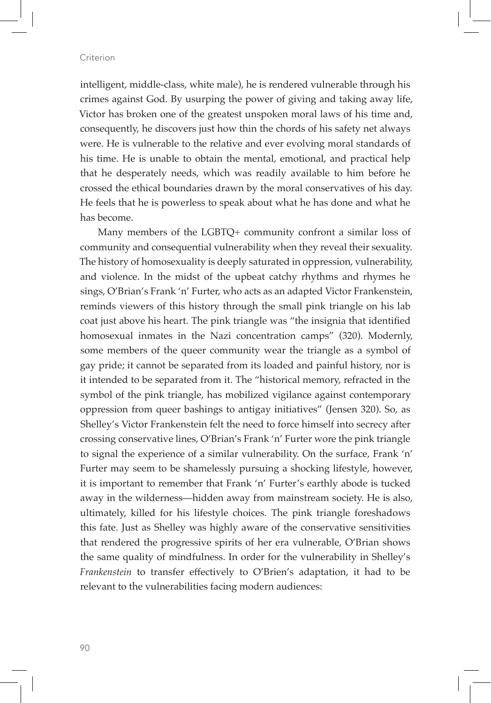intelligent, middle-class, white male), he is rendered vulnerable through his crimes against God. By usurping the power of giving and taking away life, Victor has broken one of the greatest unspoken moral laws of his time and, consequently, he discovers just how thin the chords of his safety net always were. He is vulnerable to the relative and ever evolving moral standards of his time. He is unable to obtain the mental, emotional, and practical help that he desperately needs, which was readily available to him before he crossed the ethical boundaries drawn by the moral conservatives of his day. He feels that he is powerless to speak about what he has done and what he has become.

Many members of the LGBTQ+ community confront a similar loss of community and consequential vulnerability when they reveal their sexuality. The history of homosexuality is deeply saturated in oppression, vulnerability, and violence. In the midst of the upbeat catchy rhythms and rhymes he sings, O'Brian's Frank 'n' Furter, who acts as an adapted Victor Frankenstein, reminds viewers of this history through the small pink triangle on his lab coat just above his heart. The pink triangle was "the insignia that identified homosexual inmates in the Nazi concentration camps" (320). Modernly, some members of the queer community wear the triangle as a symbol of gay pride; it cannot be separated from its loaded and painful history, nor is it intended to be separated from it. The "historical memory, refracted in the symbol of the pink triangle, has mobilized vigilance against contemporary oppression from queer bashings to antigay initiatives" (Jensen 320). So, as Shelley's Victor Frankenstein felt the need to force himself into secrecy after crossing conservative lines, O'Brian's Frank 'n' Furter wore the pink triangle to signal the experience of a similar vulnerability. On the surface, Frank 'n' Furter may seem to be shamelessly pursuing a shocking lifestyle, however, it is important to remember that Frank 'n' Furter's earthly abode is tucked away in the wilderness—hidden away from mainstream society. He is also, ultimately, killed for his lifestyle choices. The pink triangle foreshadows this fate. Just as Shelley was highly aware of the conservative sensitivities that rendered the progressive spirits of her era vulnerable, O'Brian shows the same quality of mindfulness. In order for the vulnerability in Shelley's *Frankenstein* to transfer effectively to O'Brien's adaptation, it had to be relevant to the vulnerabilities facing modern audiences: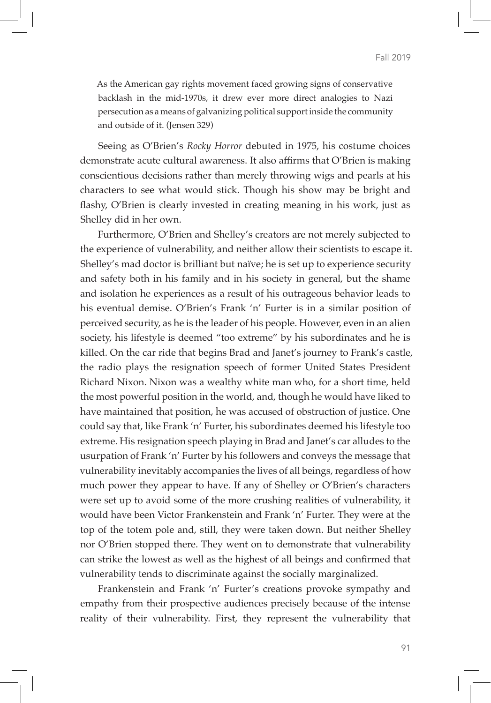As the American gay rights movement faced growing signs of conservative backlash in the mid-1970s, it drew ever more direct analogies to Nazi persecution as a means of galvanizing political support inside the community and outside of it. (Jensen 329)

Seeing as O'Brien's *Rocky Horror* debuted in 1975, his costume choices demonstrate acute cultural awareness. It also affirms that O'Brien is making conscientious decisions rather than merely throwing wigs and pearls at his characters to see what would stick. Though his show may be bright and flashy, O'Brien is clearly invested in creating meaning in his work, just as Shelley did in her own.

Furthermore, O'Brien and Shelley's creators are not merely subjected to the experience of vulnerability, and neither allow their scientists to escape it. Shelley's mad doctor is brilliant but naïve; he is set up to experience security and safety both in his family and in his society in general, but the shame and isolation he experiences as a result of his outrageous behavior leads to his eventual demise. O'Brien's Frank 'n' Furter is in a similar position of perceived security, as he is the leader of his people. However, even in an alien society, his lifestyle is deemed "too extreme" by his subordinates and he is killed. On the car ride that begins Brad and Janet's journey to Frank's castle, the radio plays the resignation speech of former United States President Richard Nixon. Nixon was a wealthy white man who, for a short time, held the most powerful position in the world, and, though he would have liked to have maintained that position, he was accused of obstruction of justice. One could say that, like Frank 'n' Furter, his subordinates deemed his lifestyle too extreme. His resignation speech playing in Brad and Janet's car alludes to the usurpation of Frank 'n' Furter by his followers and conveys the message that vulnerability inevitably accompanies the lives of all beings, regardless of how much power they appear to have. If any of Shelley or O'Brien's characters were set up to avoid some of the more crushing realities of vulnerability, it would have been Victor Frankenstein and Frank 'n' Furter. They were at the top of the totem pole and, still, they were taken down. But neither Shelley nor O'Brien stopped there. They went on to demonstrate that vulnerability can strike the lowest as well as the highest of all beings and confirmed that vulnerability tends to discriminate against the socially marginalized.

Frankenstein and Frank 'n' Furter's creations provoke sympathy and empathy from their prospective audiences precisely because of the intense reality of their vulnerability. First, they represent the vulnerability that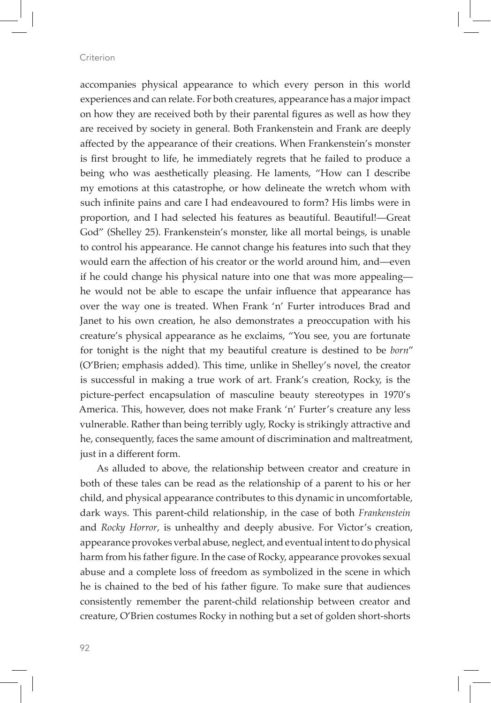accompanies physical appearance to which every person in this world experiences and can relate. For both creatures, appearance has a major impact on how they are received both by their parental figures as well as how they are received by society in general. Both Frankenstein and Frank are deeply affected by the appearance of their creations. When Frankenstein's monster is first brought to life, he immediately regrets that he failed to produce a being who was aesthetically pleasing. He laments, "How can I describe my emotions at this catastrophe, or how delineate the wretch whom with such infinite pains and care I had endeavoured to form? His limbs were in proportion, and I had selected his features as beautiful. Beautiful!—Great God" (Shelley 25). Frankenstein's monster, like all mortal beings, is unable to control his appearance. He cannot change his features into such that they would earn the affection of his creator or the world around him, and—even if he could change his physical nature into one that was more appealing he would not be able to escape the unfair influence that appearance has over the way one is treated. When Frank 'n' Furter introduces Brad and Janet to his own creation, he also demonstrates a preoccupation with his creature's physical appearance as he exclaims, "You see, you are fortunate for tonight is the night that my beautiful creature is destined to be *born*" (O'Brien; emphasis added). This time, unlike in Shelley's novel, the creator is successful in making a true work of art. Frank's creation, Rocky, is the picture-perfect encapsulation of masculine beauty stereotypes in 1970's America. This, however, does not make Frank 'n' Furter's creature any less vulnerable. Rather than being terribly ugly, Rocky is strikingly attractive and he, consequently, faces the same amount of discrimination and maltreatment, just in a different form.

As alluded to above, the relationship between creator and creature in both of these tales can be read as the relationship of a parent to his or her child, and physical appearance contributes to this dynamic in uncomfortable, dark ways. This parent-child relationship, in the case of both *Frankenstein* and *Rocky Horror*, is unhealthy and deeply abusive. For Victor's creation, appearance provokes verbal abuse, neglect, and eventual intent to do physical harm from his father figure. In the case of Rocky, appearance provokes sexual abuse and a complete loss of freedom as symbolized in the scene in which he is chained to the bed of his father figure. To make sure that audiences consistently remember the parent-child relationship between creator and creature, O'Brien costumes Rocky in nothing but a set of golden short-shorts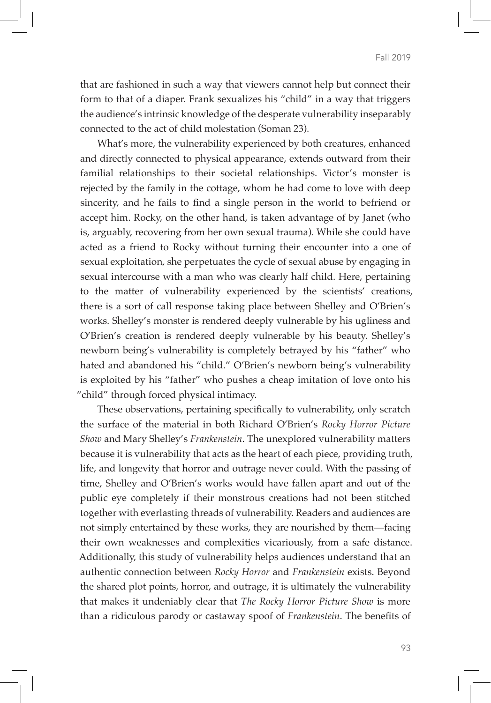that are fashioned in such a way that viewers cannot help but connect their form to that of a diaper. Frank sexualizes his "child" in a way that triggers the audience's intrinsic knowledge of the desperate vulnerability inseparably connected to the act of child molestation (Soman 23).

What's more, the vulnerability experienced by both creatures, enhanced and directly connected to physical appearance, extends outward from their familial relationships to their societal relationships. Victor's monster is rejected by the family in the cottage, whom he had come to love with deep sincerity, and he fails to find a single person in the world to befriend or accept him. Rocky, on the other hand, is taken advantage of by Janet (who is, arguably, recovering from her own sexual trauma). While she could have acted as a friend to Rocky without turning their encounter into a one of sexual exploitation, she perpetuates the cycle of sexual abuse by engaging in sexual intercourse with a man who was clearly half child. Here, pertaining to the matter of vulnerability experienced by the scientists' creations, there is a sort of call response taking place between Shelley and O'Brien's works. Shelley's monster is rendered deeply vulnerable by his ugliness and O'Brien's creation is rendered deeply vulnerable by his beauty. Shelley's newborn being's vulnerability is completely betrayed by his "father" who hated and abandoned his "child." O'Brien's newborn being's vulnerability is exploited by his "father" who pushes a cheap imitation of love onto his "child" through forced physical intimacy.

These observations, pertaining specifically to vulnerability, only scratch the surface of the material in both Richard O'Brien's *Rocky Horror Picture Show* and Mary Shelley's *Frankenstein*. The unexplored vulnerability matters because it is vulnerability that acts as the heart of each piece, providing truth, life, and longevity that horror and outrage never could. With the passing of time, Shelley and O'Brien's works would have fallen apart and out of the public eye completely if their monstrous creations had not been stitched together with everlasting threads of vulnerability. Readers and audiences are not simply entertained by these works, they are nourished by them—facing their own weaknesses and complexities vicariously, from a safe distance. Additionally, this study of vulnerability helps audiences understand that an authentic connection between *Rocky Horror* and *Frankenstein* exists. Beyond the shared plot points, horror, and outrage, it is ultimately the vulnerability that makes it undeniably clear that *The Rocky Horror Picture Show* is more than a ridiculous parody or castaway spoof of *Frankenstein*. The benefits of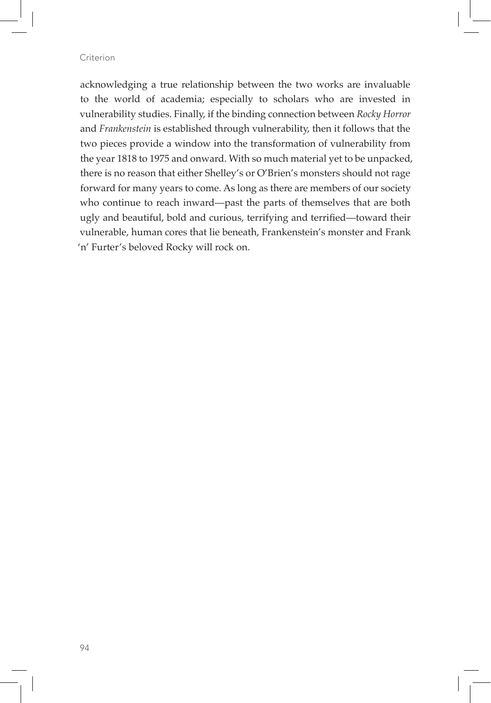acknowledging a true relationship between the two works are invaluable to the world of academia; especially to scholars who are invested in vulnerability studies. Finally, if the binding connection between *Rocky Horror* and *Frankenstein* is established through vulnerability, then it follows that the two pieces provide a window into the transformation of vulnerability from the year 1818 to 1975 and onward. With so much material yet to be unpacked, there is no reason that either Shelley's or O'Brien's monsters should not rage forward for many years to come. As long as there are members of our society who continue to reach inward—past the parts of themselves that are both ugly and beautiful, bold and curious, terrifying and terrified—toward their vulnerable, human cores that lie beneath, Frankenstein's monster and Frank 'n' Furter's beloved Rocky will rock on.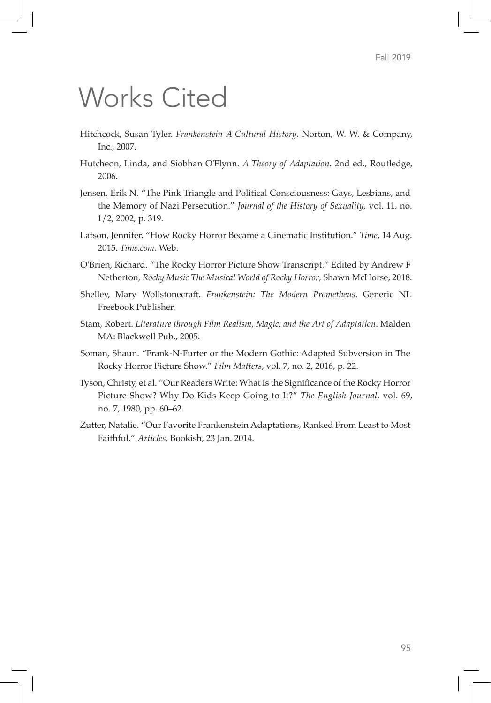## Works Cited

- Hitchcock, Susan Tyler. *Frankenstein A Cultural History*. Norton, W. W. & Company, Inc., 2007.
- Hutcheon, Linda, and Siobhan O'Flynn. *A Theory of Adaptation*. 2nd ed., Routledge, 2006.
- Jensen, Erik N. "The Pink Triangle and Political Consciousness: Gays, Lesbians, and the Memory of Nazi Persecution." *Journal of the History of Sexuality*, vol. 11, no. 1/2, 2002, p. 319.
- Latson, Jennifer. "How Rocky Horror Became a Cinematic Institution." *Time*, 14 Aug. 2015. *Time.com*. Web.
- O'Brien, Richard. "The Rocky Horror Picture Show Transcript." Edited by Andrew F Netherton, *Rocky Music The Musical World of Rocky Horror*, Shawn McHorse, 2018.
- Shelley, Mary Wollstonecraft. *Frankenstein: The Modern Prometheus*. Generic NL Freebook Publisher.
- Stam, Robert. *Literature through Film Realism, Magic, and the Art of Adaptation*. Malden MA: Blackwell Pub., 2005.
- Soman, Shaun. "Frank-N-Furter or the Modern Gothic: Adapted Subversion in The Rocky Horror Picture Show." *Film Matters*, vol. 7, no. 2, 2016, p. 22.
- Tyson, Christy, et al. "Our Readers Write: What Is the Significance of the Rocky Horror Picture Show? Why Do Kids Keep Going to It?" *The English Journal*, vol. 69, no. 7, 1980, pp. 60–62.
- Zutter, Natalie. "Our Favorite Frankenstein Adaptations, Ranked From Least to Most Faithful." *Articles*, Bookish, 23 Jan. 2014.